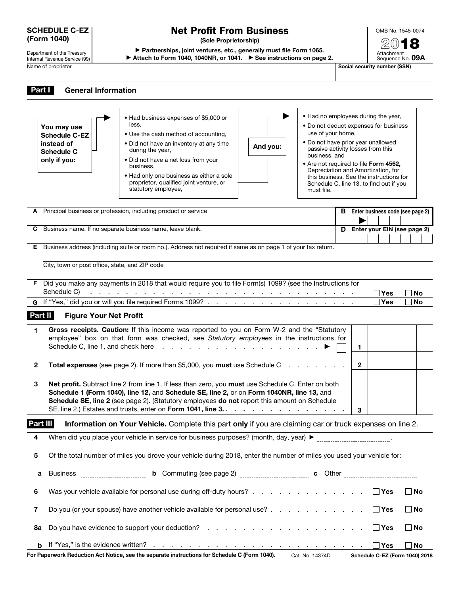# SCHEDULE C-EZ (Form 1040)

# Department of the Treasury

Internal Revenue Service (99) Name of proprietor SSN)

# Net Profit From Business

(Sole Proprietorship)

▶ Partnerships, joint ventures, etc., generally must file Form 1065. ▶ Attach to Form 1040, 1040NR, or 1041. ▶ See instructions on page 2.

OMB No. 1545-0074 2018 Attachment<br>Sequence No. **09A** 

| Part I       | <b>General Information</b>                                                                                    |                                                                                                                                                                                                                                                                                                                                                                                                                        |          |                                                                                                                                                                                                                                                                                                                                                                                  |                                           |                        |  |  |
|--------------|---------------------------------------------------------------------------------------------------------------|------------------------------------------------------------------------------------------------------------------------------------------------------------------------------------------------------------------------------------------------------------------------------------------------------------------------------------------------------------------------------------------------------------------------|----------|----------------------------------------------------------------------------------------------------------------------------------------------------------------------------------------------------------------------------------------------------------------------------------------------------------------------------------------------------------------------------------|-------------------------------------------|------------------------|--|--|
|              | You may use<br><b>Schedule C-EZ</b><br>instead of<br><b>Schedule C</b><br>only if you:                        | • Had business expenses of \$5,000 or<br>less.<br>• Use the cash method of accounting,<br>. Did not have an inventory at any time<br>during the year,<br>• Did not have a net loss from your<br>business.<br>. Had only one business as either a sole<br>proprietor, qualified joint venture, or<br>statutory employee,                                                                                                | And you: | • Had no employees during the year,<br>• Do not deduct expenses for business<br>use of your home,<br>. Do not have prior year unallowed<br>passive activity losses from this<br>business, and<br>• Are not required to file Form 4562,<br>Depreciation and Amortization, for<br>this business. See the instructions for<br>Schedule C, line 13, to find out if you<br>must file. |                                           |                        |  |  |
| A            |                                                                                                               | Principal business or profession, including product or service                                                                                                                                                                                                                                                                                                                                                         |          |                                                                                                                                                                                                                                                                                                                                                                                  | <b>B</b> Enter business code (see page 2) |                        |  |  |
| С            |                                                                                                               | Business name. If no separate business name, leave blank.                                                                                                                                                                                                                                                                                                                                                              |          |                                                                                                                                                                                                                                                                                                                                                                                  | D Enter your EIN (see page 2)             |                        |  |  |
| E.           | Business address (including suite or room no.). Address not required if same as on page 1 of your tax return. |                                                                                                                                                                                                                                                                                                                                                                                                                        |          |                                                                                                                                                                                                                                                                                                                                                                                  |                                           |                        |  |  |
|              | City, town or post office, state, and ZIP code                                                                |                                                                                                                                                                                                                                                                                                                                                                                                                        |          |                                                                                                                                                                                                                                                                                                                                                                                  |                                           |                        |  |  |
|              |                                                                                                               | F Did you make any payments in 2018 that would require you to file Form(s) 1099? (see the Instructions for                                                                                                                                                                                                                                                                                                             |          |                                                                                                                                                                                                                                                                                                                                                                                  |                                           |                        |  |  |
|              | Schedule C)                                                                                                   | <u>a da a cara a cara cara a cara a cara a cara a cara a cara a cara a cara a c</u>                                                                                                                                                                                                                                                                                                                                    |          |                                                                                                                                                                                                                                                                                                                                                                                  | ∃Yes<br>∃Yes                              | <b>No</b><br><b>No</b> |  |  |
|              |                                                                                                               |                                                                                                                                                                                                                                                                                                                                                                                                                        |          |                                                                                                                                                                                                                                                                                                                                                                                  |                                           |                        |  |  |
| Part II      | <b>Figure Your Net Profit</b>                                                                                 |                                                                                                                                                                                                                                                                                                                                                                                                                        |          |                                                                                                                                                                                                                                                                                                                                                                                  |                                           |                        |  |  |
| 1.           |                                                                                                               | Gross receipts. Caution: If this income was reported to you on Form W-2 and the "Statutory<br>employee" box on that form was checked, see Statutory employees in the instructions for<br>Schedule C, line 1, and check here reader and reader and reader and reader and reader and reader and reader and reader and reader and reader and reader and reader and reader and reader and reader and reader and reader and |          |                                                                                                                                                                                                                                                                                                                                                                                  | 1                                         |                        |  |  |
| $\mathbf{2}$ |                                                                                                               | Total expenses (see page 2). If more than \$5,000, you must use Schedule C                                                                                                                                                                                                                                                                                                                                             |          |                                                                                                                                                                                                                                                                                                                                                                                  | $\mathbf{2}$                              |                        |  |  |
| 3            |                                                                                                               | Net profit. Subtract line 2 from line 1. If less than zero, you must use Schedule C. Enter on both<br>Schedule 1 (Form 1040), line 12, and Schedule SE, line 2, or on Form 1040NR, line 13, and<br>Schedule SE, line 2 (see page 2). (Statutory employees do not report this amount on Schedule<br>SE, line 2.) Estates and trusts, enter on Form 1041, line 3.                                                        |          |                                                                                                                                                                                                                                                                                                                                                                                  | 3                                         |                        |  |  |
| Part III     |                                                                                                               | Information on Your Vehicle. Complete this part only if you are claiming car or truck expenses on line 2.                                                                                                                                                                                                                                                                                                              |          |                                                                                                                                                                                                                                                                                                                                                                                  |                                           |                        |  |  |
| 4            |                                                                                                               |                                                                                                                                                                                                                                                                                                                                                                                                                        |          |                                                                                                                                                                                                                                                                                                                                                                                  |                                           |                        |  |  |
| 5            |                                                                                                               | Of the total number of miles you drove your vehicle during 2018, enter the number of miles you used your vehicle for:                                                                                                                                                                                                                                                                                                  |          |                                                                                                                                                                                                                                                                                                                                                                                  |                                           |                        |  |  |
| а            | <b>Business</b>                                                                                               |                                                                                                                                                                                                                                                                                                                                                                                                                        |          |                                                                                                                                                                                                                                                                                                                                                                                  |                                           |                        |  |  |
| 6            |                                                                                                               | Was your vehicle available for personal use during off-duty hours?                                                                                                                                                                                                                                                                                                                                                     |          |                                                                                                                                                                                                                                                                                                                                                                                  | $\Box$ Yes                                | $\Box$ No              |  |  |
| 7            |                                                                                                               | Do you (or your spouse) have another vehicle available for personal use?                                                                                                                                                                                                                                                                                                                                               |          |                                                                                                                                                                                                                                                                                                                                                                                  | $\Box$ Yes                                | $\Box$ No              |  |  |
| 8а           |                                                                                                               |                                                                                                                                                                                                                                                                                                                                                                                                                        |          |                                                                                                                                                                                                                                                                                                                                                                                  | $\Box$ Yes                                | $\Box$ No              |  |  |
| b            |                                                                                                               |                                                                                                                                                                                                                                                                                                                                                                                                                        |          |                                                                                                                                                                                                                                                                                                                                                                                  | _l Yes                                    | No                     |  |  |
|              |                                                                                                               | For Paperwork Reduction Act Notice, see the separate instructions for Schedule C (Form 1040).                                                                                                                                                                                                                                                                                                                          |          | Cat. No. 14374D                                                                                                                                                                                                                                                                                                                                                                  | Schedule C-EZ (Form 1040) 2018            |                        |  |  |